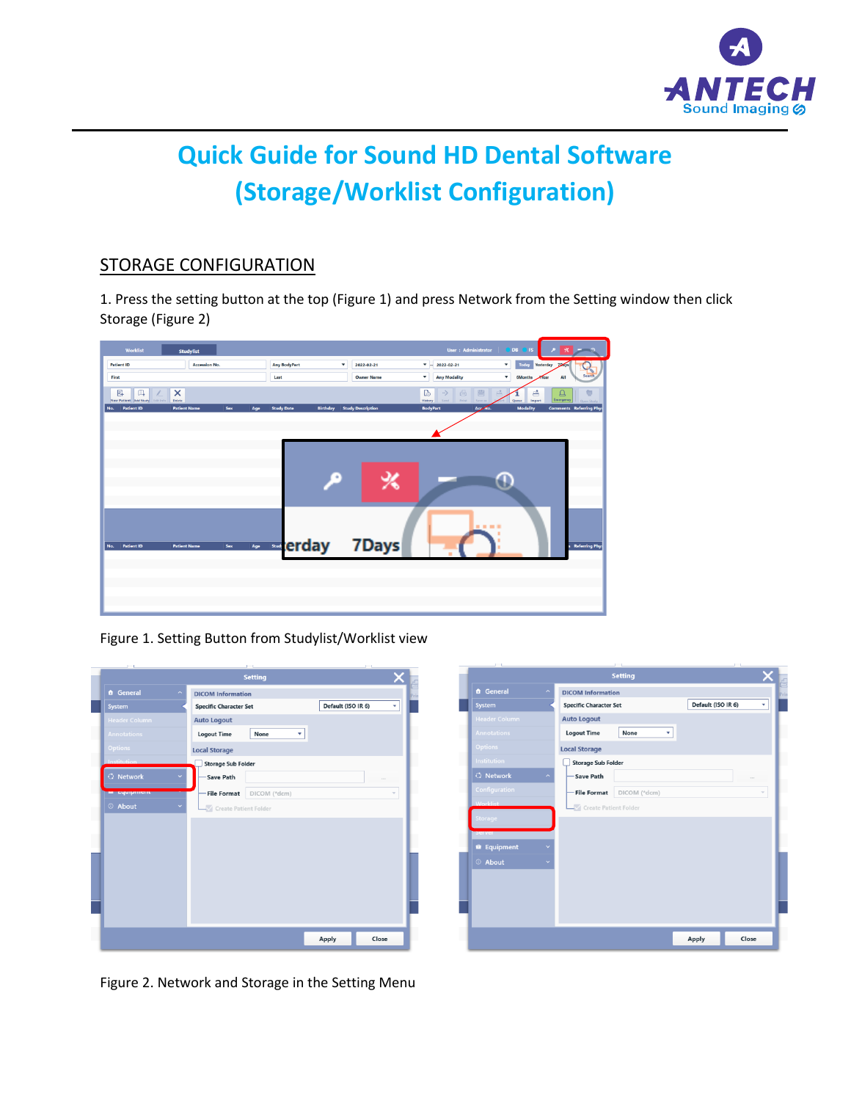

## **Quick Guide for Sound HD Dental Software (Storage/Worklist Configuration)**

## STORAGE CONFIGURATION

1. Press the setting button at the top (Figure 1) and press Network from the Setting window then click Storage (Figure 2)

| Worklist                                   | <b>Studylist</b>           |                          |                                             | User: Administrator                                             | $\boldsymbol{\times}$<br><b>DB</b><br><b>IS</b><br>$\sim$ 0             |
|--------------------------------------------|----------------------------|--------------------------|---------------------------------------------|-----------------------------------------------------------------|-------------------------------------------------------------------------|
| <b>Patient ID</b>                          | <b>Accession No.</b>       | <b>Any BodyPart</b>      | ۰<br>2022-02-21                             | $\bullet$<br>2022-02-21                                         | $\mathbf v$<br>Today<br>Yesterday<br><b>TDAYS</b>                       |
| First                                      |                            | Last                     | <b>Owner Name</b>                           | ۰<br><b>Any Modality</b>                                        | $\blacktriangledown$<br>Search<br><b>6Months</b><br><b>Year</b>         |
| 區<br>◫<br>New Patient Add Study Life Info. | ×<br>Delete                |                          |                                             | 冒<br>€<br>D<br>-><br>Print<br>Send<br><b>History</b><br>Save as | 昌<br>透<br><b>△</b><br>ā<br>Emergency<br>Import<br>Одиная<br>Open Street |
| <b>Patient ID</b><br>No.                   | <b>Patient Name</b><br>Sex | <b>Study Date</b><br>Age | <b>Birthday</b><br><b>Study Description</b> | <b>BodyPart</b><br>Acc/No.                                      | <b>Modality</b><br><b>Comments</b> Referring Phys                       |
|                                            |                            |                          |                                             |                                                                 |                                                                         |
|                                            |                            |                          |                                             |                                                                 |                                                                         |
|                                            |                            |                          |                                             |                                                                 |                                                                         |
|                                            |                            |                          | ۶<br>℅                                      |                                                                 |                                                                         |
|                                            |                            |                          |                                             |                                                                 |                                                                         |
|                                            |                            |                          |                                             |                                                                 |                                                                         |
|                                            |                            |                          |                                             | .                                                               |                                                                         |
| <b>Patient ID</b><br>No.                   | Sex<br><b>Patient Name</b> | Age                      | <b>Exterday 7Days</b>                       |                                                                 | <b>Referring Phys</b>                                                   |
|                                            |                            |                          |                                             |                                                                 |                                                                         |
|                                            |                            |                          |                                             |                                                                 |                                                                         |
|                                            |                            |                          |                                             |                                                                 |                                                                         |
|                                            |                            |                          |                                             |                                                                 |                                                                         |
|                                            |                            |                          |                                             |                                                                 |                                                                         |

Figure 1. Setting Button from Studylist/Worklist view

|                                | <b>Setting</b>                     |                    |        |
|--------------------------------|------------------------------------|--------------------|--------|
| <b>ft</b> General<br>$\lambda$ | <b>DICOM Information</b>           |                    |        |
| System                         | <b>Specific Character Set</b>      | Default (ISO IR 6) | ٠      |
| <b>Header Column</b>           | <b>Auto Logout</b>                 |                    |        |
| <b>Annotations</b>             | None<br><b>Logout Time</b>         |                    |        |
| <b>Options</b>                 | <b>Local Storage</b>               |                    |        |
| <b>Institution</b>             | <b>Storage Sub Folder</b>          |                    |        |
| <b>Q</b> Network               | Save Path                          |                    | $\sim$ |
| <b>Cycle</b> (1979)            | <b>File Format</b><br>DICOM (*dcm) |                    |        |
| © About                        | Create Patient Folder              |                    |        |
|                                |                                    |                    |        |
|                                |                                    |                    |        |
|                                |                                    |                    |        |
|                                |                                    |                    |        |
|                                |                                    |                    |        |
|                                |                                    |                    |        |
|                                |                                    |                    |        |
|                                |                                    |                    |        |
|                                |                                    |                    |        |
|                                |                                    |                    |        |

|                      |                                                 | <b>Setting</b> |                    |       |
|----------------------|-------------------------------------------------|----------------|--------------------|-------|
| <b>A</b> General     | <b>DICOM Information</b><br>$\hat{\phantom{a}}$ |                |                    |       |
| System               | <b>Specific Character Set</b>                   |                | Default (ISO IR 6) | ۰     |
| <b>Header Column</b> | <b>Auto Logout</b>                              |                |                    |       |
| <b>Annotations</b>   | <b>Logout Time</b>                              | None<br>۰      |                    |       |
| <b>Options</b>       | <b>Local Storage</b>                            |                |                    |       |
| <b>Institution</b>   | <b>Storage Sub Folder</b>                       |                |                    |       |
| <b>G</b> Network     | <b>Save Path</b><br>$\overline{\phantom{a}}$    |                |                    | 122   |
| Configuration        | <b>File Format</b>                              | DICOM (*dcm)   |                    |       |
| <b>Worklist</b>      | Create Patient Folder                           |                |                    |       |
| Storage              |                                                 |                |                    |       |
| <b>Derver</b>        |                                                 |                |                    |       |
| <b>R</b> Equipment   |                                                 |                |                    |       |
| © About              |                                                 |                |                    |       |
|                      |                                                 |                |                    |       |
|                      |                                                 |                |                    |       |
|                      |                                                 |                |                    |       |
|                      |                                                 |                |                    |       |
|                      |                                                 |                | <b>Apply</b>       | Close |

Figure 2. Network and Storage in the Setting Menu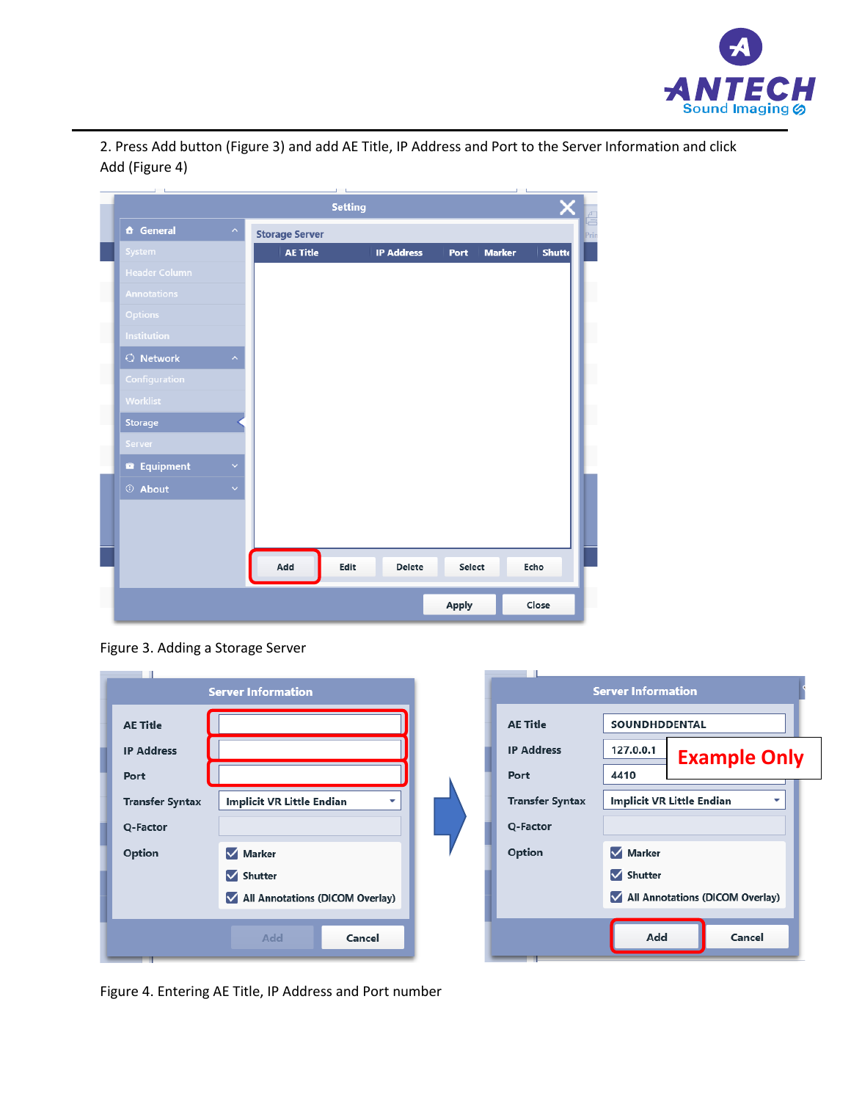

2. Press Add button (Figure 3) and add AE Title, IP Address and Port to the Server Information and click Add (Figure 4)

| <b>Setting</b><br><b>Storage Server</b><br><b>AE Title</b> | <b>IP Address</b> | Port<br><b>Marker</b> | Shutte |
|------------------------------------------------------------|-------------------|-----------------------|--------|
|                                                            |                   |                       |        |
|                                                            |                   |                       |        |
|                                                            |                   |                       |        |
|                                                            |                   |                       |        |
|                                                            |                   |                       |        |
|                                                            |                   |                       |        |
|                                                            |                   |                       |        |
|                                                            |                   |                       |        |
|                                                            |                   |                       |        |
|                                                            |                   |                       |        |
|                                                            |                   |                       |        |
|                                                            |                   |                       |        |
|                                                            |                   |                       |        |
|                                                            |                   |                       |        |
|                                                            |                   |                       |        |
|                                                            |                   |                       |        |
|                                                            |                   |                       |        |
|                                                            |                   |                       | Echo   |
| Edit                                                       | Delete            |                       |        |
|                                                            |                   |                       | Select |

Figure 3. Adding a Storage Server

|                        | <b>Server Information</b>                                    |                        | <b>Server Information</b>             |
|------------------------|--------------------------------------------------------------|------------------------|---------------------------------------|
| <b>AE Title</b>        |                                                              | <b>AE Title</b>        | SOUNDHDDENTAL                         |
| <b>IP Address</b>      |                                                              | <b>IP Address</b>      | 127.0.0.1<br><b>Example Only</b>      |
| Port                   |                                                              | Port                   | 4410                                  |
| <b>Transfer Syntax</b> | <b>Implicit VR Little Endian</b><br>$\overline{\phantom{a}}$ | <b>Transfer Syntax</b> | <b>Implicit VR Little Endian</b><br>▼ |
| Q-Factor               |                                                              | Q-Factor               |                                       |
| Option                 | Marker                                                       | Option                 | Marker                                |
|                        | $\sqrt{\phantom{a}}$ Shutter                                 |                        | Shutter                               |
|                        | All Annotations (DICOM Overlay)                              |                        | All Annotations (DICOM Overlay)       |
|                        | Add<br>Cancel                                                |                        | Add<br>Cancel                         |

Figure 4. Entering AE Title, IP Address and Port number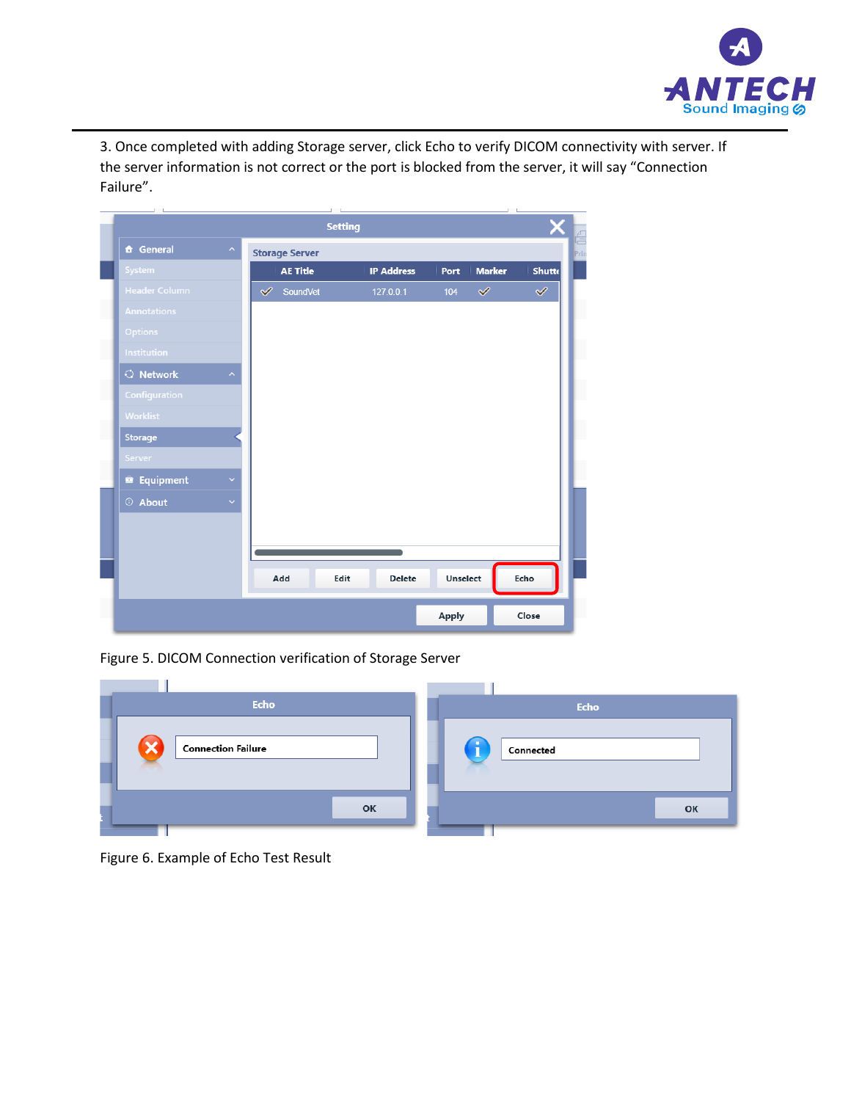

3. Once completed with adding Storage server, click Echo to verify DICOM connectivity with server. If the server information is not correct or the port is blocked from the server, it will say "Connection Failure".

|                      |                                      | <b>Setting</b> |                   |              |               |               |
|----------------------|--------------------------------------|----------------|-------------------|--------------|---------------|---------------|
| <b>A</b> General     | <b>Storage Server</b>                |                |                   |              |               |               |
| System               | <b>AE Title</b>                      |                | <b>IP Address</b> | Port         | <b>Marker</b> | <b>Shutte</b> |
| <b>Header Column</b> | $\overline{\mathscr{S}}$<br>SoundVet |                | 127.0.0.1         | 104          | $\checkmark$  | $\checkmark$  |
| <b>Annotations</b>   |                                      |                |                   |              |               |               |
| <b>Options</b>       |                                      |                |                   |              |               |               |
| <b>Institution</b>   |                                      |                |                   |              |               |               |
| $\bigcirc$ Network   |                                      |                |                   |              |               |               |
| Configuration        |                                      |                |                   |              |               |               |
| Worklist             |                                      |                |                   |              |               |               |
| <b>Storage</b>       |                                      |                |                   |              |               |               |
| Server               |                                      |                |                   |              |               |               |
| <b>Equipment</b>     |                                      |                |                   |              |               |               |
| © About              |                                      |                |                   |              |               |               |
|                      |                                      |                |                   |              |               |               |
|                      |                                      |                |                   |              |               |               |
|                      |                                      |                |                   |              |               |               |
|                      | Add                                  | Edit           | Delete            | Unselect     |               | Echo          |
|                      |                                      |                |                   | <b>Apply</b> |               | Close         |

Figure 5. DICOM Connection verification of Storage Server

| <b>Echo</b>               |    | Echo      |
|---------------------------|----|-----------|
| <b>Connection Failure</b> |    | Connected |
|                           | OK | OK        |

Figure 6. Example of Echo Test Result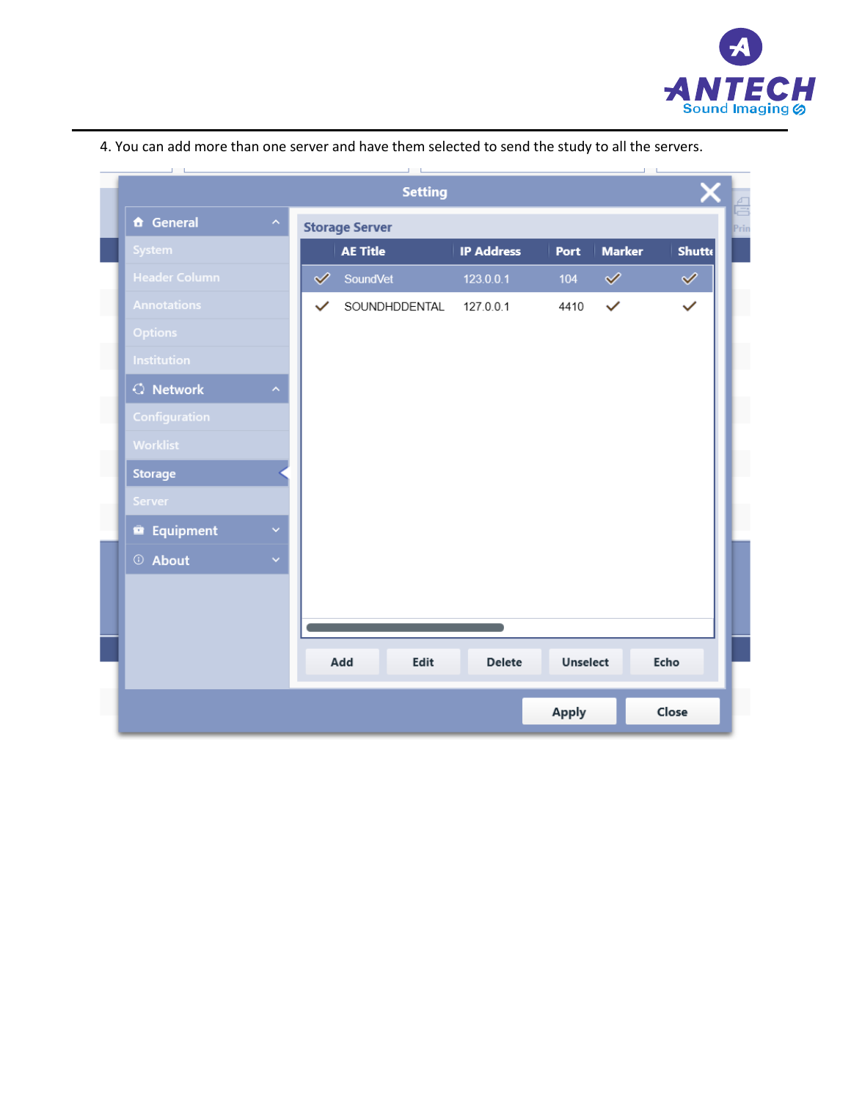

|                    |                      | <b>Setting</b>        |                   |          |               |               |
|--------------------|----------------------|-----------------------|-------------------|----------|---------------|---------------|
| <b>f</b> General   |                      | <b>Storage Server</b> |                   |          |               |               |
| System             |                      | <b>AE Title</b>       | <b>IP Address</b> | Port     | <b>Marker</b> | <b>Shutte</b> |
| Header Column      | $\blacktriangledown$ | SoundVet              | 123.0.0.1         | 104      | $\checkmark$  | $\checkmark$  |
| <b>Annotations</b> | $\checkmark$         | SOUNDHDDENTAL         | 127.0.0.1         | 4410     | $\checkmark$  | $\checkmark$  |
| <b>Options</b>     |                      |                       |                   |          |               |               |
| <b>Institution</b> |                      |                       |                   |          |               |               |
| $\bigcirc$ Network |                      |                       |                   |          |               |               |
| Configuration      |                      |                       |                   |          |               |               |
| Worklist           |                      |                       |                   |          |               |               |
| <b>Storage</b>     |                      |                       |                   |          |               |               |
| Server             |                      |                       |                   |          |               |               |
| <b>Equipment</b>   |                      |                       |                   |          |               |               |
| © About            |                      |                       |                   |          |               |               |
|                    |                      |                       |                   |          |               |               |
|                    |                      |                       |                   |          |               |               |
|                    |                      |                       |                   |          |               |               |
|                    |                      | Add<br>Edit           | Delete            | Unselect |               | Echo          |
|                    |                      |                       |                   | Apply    |               | Close         |

4. You can add more than one server and have them selected to send the study to all the servers.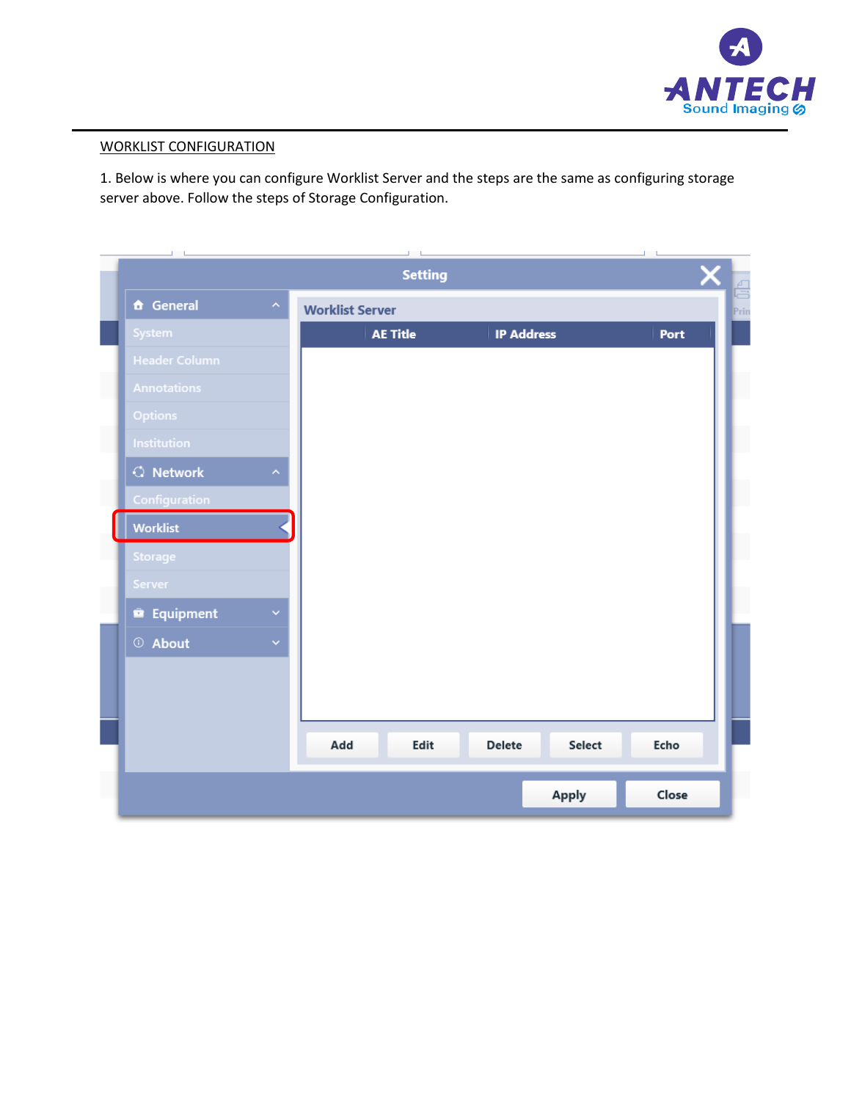

## WORKLIST CONFIGURATION

1. Below is where you can configure Worklist Server and the steps are the same as configuring storage server above. Follow the steps of Storage Configuration.